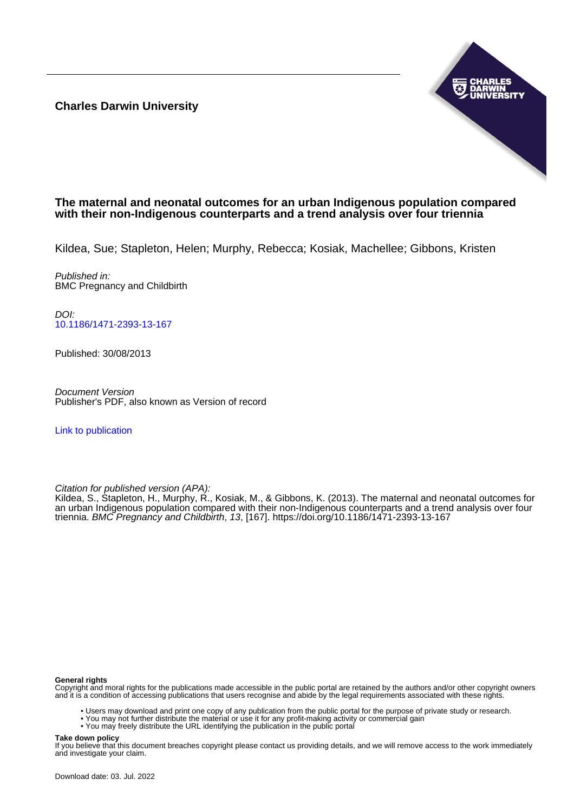**Charles Darwin University**



### **The maternal and neonatal outcomes for an urban Indigenous population compared with their non-Indigenous counterparts and a trend analysis over four triennia**

Kildea, Sue; Stapleton, Helen; Murphy, Rebecca; Kosiak, Machellee; Gibbons, Kristen

Published in: BMC Pregnancy and Childbirth

DOI: [10.1186/1471-2393-13-167](https://doi.org/10.1186/1471-2393-13-167)

Published: 30/08/2013

Document Version Publisher's PDF, also known as Version of record

[Link to publication](https://researchers.cdu.edu.au/en/publications/f7bbe89e-4e6a-42cb-8073-e0de6548de12)

Citation for published version (APA):

Kildea, S., Stapleton, H., Murphy, R., Kosiak, M., & Gibbons, K. (2013). The maternal and neonatal outcomes for an urban Indigenous population compared with their non-Indigenous counterparts and a trend analysis over four triennia. BMC Pregnancy and Childbirth, 13, [167]. <https://doi.org/10.1186/1471-2393-13-167>

#### **General rights**

Copyright and moral rights for the publications made accessible in the public portal are retained by the authors and/or other copyright owners and it is a condition of accessing publications that users recognise and abide by the legal requirements associated with these rights.

- Users may download and print one copy of any publication from the public portal for the purpose of private study or research.
- You may not further distribute the material or use it for any profit-making activity or commercial gain
- You may freely distribute the URL identifying the publication in the public portal

#### **Take down policy**

If you believe that this document breaches copyright please contact us providing details, and we will remove access to the work immediately and investigate your claim.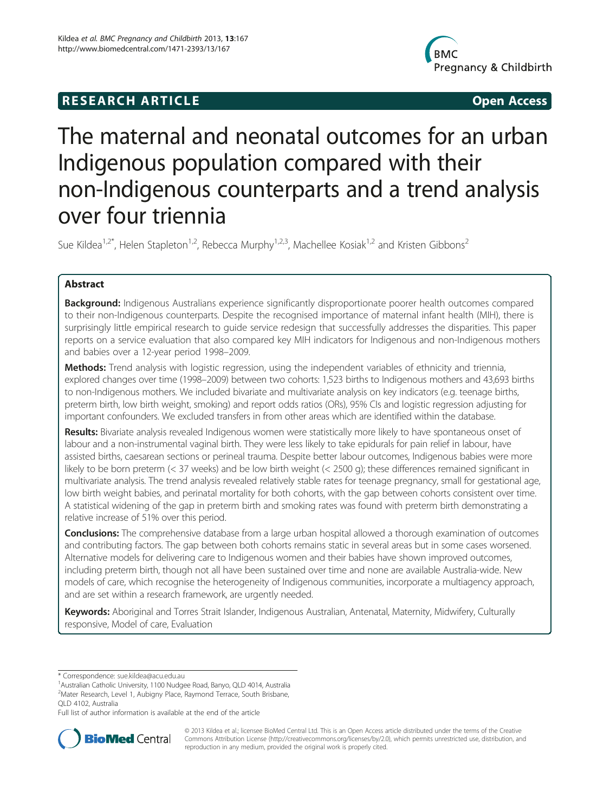# **RESEARCH ARTICLE CONSUMING A RESEARCH ARTICLE**



# The maternal and neonatal outcomes for an urban Indigenous population compared with their non-Indigenous counterparts and a trend analysis over four triennia

Sue Kildea<sup>1,2\*</sup>, Helen Stapleton<sup>1,2</sup>, Rebecca Murphy<sup>1,2,3</sup>, Machellee Kosiak<sup>1,2</sup> and Kristen Gibbons<sup>2</sup>

## Abstract

Background: Indigenous Australians experience significantly disproportionate poorer health outcomes compared to their non-Indigenous counterparts. Despite the recognised importance of maternal infant health (MIH), there is surprisingly little empirical research to guide service redesign that successfully addresses the disparities. This paper reports on a service evaluation that also compared key MIH indicators for Indigenous and non-Indigenous mothers and babies over a 12-year period 1998–2009.

Methods: Trend analysis with logistic regression, using the independent variables of ethnicity and triennia, explored changes over time (1998–2009) between two cohorts: 1,523 births to Indigenous mothers and 43,693 births to non-Indigenous mothers. We included bivariate and multivariate analysis on key indicators (e.g. teenage births, preterm birth, low birth weight, smoking) and report odds ratios (ORs), 95% CIs and logistic regression adjusting for important confounders. We excluded transfers in from other areas which are identified within the database.

Results: Bivariate analysis revealed Indigenous women were statistically more likely to have spontaneous onset of labour and a non-instrumental vaginal birth. They were less likely to take epidurals for pain relief in labour, have assisted births, caesarean sections or perineal trauma. Despite better labour outcomes, Indigenous babies were more likely to be born preterm (< 37 weeks) and be low birth weight (< 2500 g); these differences remained significant in multivariate analysis. The trend analysis revealed relatively stable rates for teenage pregnancy, small for gestational age, low birth weight babies, and perinatal mortality for both cohorts, with the gap between cohorts consistent over time. A statistical widening of the gap in preterm birth and smoking rates was found with preterm birth demonstrating a relative increase of 51% over this period.

**Conclusions:** The comprehensive database from a large urban hospital allowed a thorough examination of outcomes and contributing factors. The gap between both cohorts remains static in several areas but in some cases worsened. Alternative models for delivering care to Indigenous women and their babies have shown improved outcomes, including preterm birth, though not all have been sustained over time and none are available Australia-wide. New models of care, which recognise the heterogeneity of Indigenous communities, incorporate a multiagency approach, and are set within a research framework, are urgently needed.

Keywords: Aboriginal and Torres Strait Islander, Indigenous Australian, Antenatal, Maternity, Midwifery, Culturally responsive, Model of care, Evaluation

Full list of author information is available at the end of the article



© 2013 Kildea et al.; licensee BioMed Central Ltd. This is an Open Access article distributed under the terms of the Creative Commons Attribution License [\(http://creativecommons.org/licenses/by/2.0\)](http://creativecommons.org/licenses/by/2.0), which permits unrestricted use, distribution, and reproduction in any medium, provided the original work is properly cited.

<sup>\*</sup> Correspondence: [sue.kildea@acu.edu.au](mailto:sue.kildea@acu.edu.au) <sup>1</sup>

<sup>&</sup>lt;sup>1</sup> Australian Catholic University, 1100 Nudgee Road, Banyo, QLD 4014, Australia <sup>2</sup>Mater Research, Level 1, Aubigny Place, Raymond Terrace, South Brisbane, QLD 4102, Australia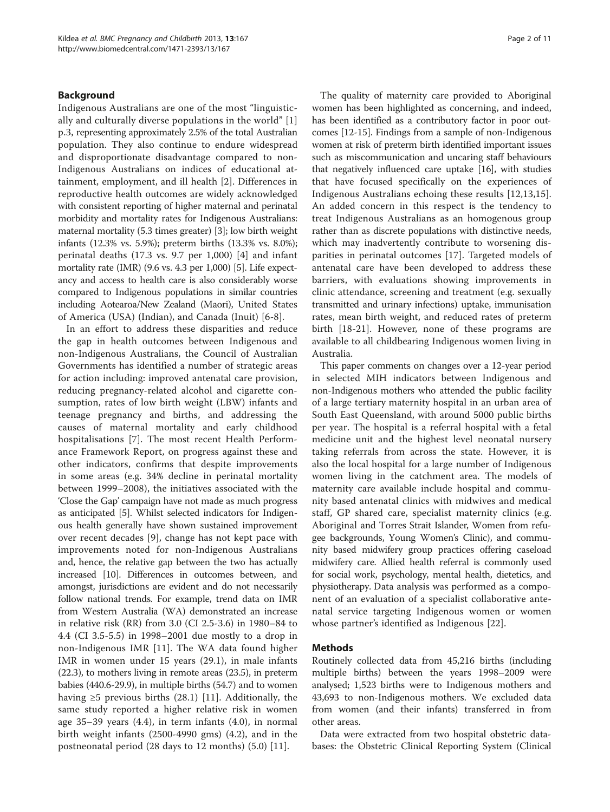#### Background

Indigenous Australians are one of the most "linguistically and culturally diverse populations in the world" [\[1](#page-10-0)] p.3, representing approximately 2.5% of the total Australian population. They also continue to endure widespread and disproportionate disadvantage compared to non-Indigenous Australians on indices of educational attainment, employment, and ill health [[2\]](#page-10-0). Differences in reproductive health outcomes are widely acknowledged with consistent reporting of higher maternal and perinatal morbidity and mortality rates for Indigenous Australians: maternal mortality (5.3 times greater) [\[3](#page-10-0)]; low birth weight infants (12.3% vs. 5.9%); preterm births (13.3% vs. 8.0%); perinatal deaths (17.3 vs. 9.7 per 1,000) [[4\]](#page-10-0) and infant mortality rate (IMR) (9.6 vs. 4.3 per 1,000) [\[5\]](#page-10-0). Life expectancy and access to health care is also considerably worse compared to Indigenous populations in similar countries including Aotearoa/New Zealand (Maori), United States of America (USA) (Indian), and Canada (Inuit) [[6-8](#page-10-0)].

In an effort to address these disparities and reduce the gap in health outcomes between Indigenous and non-Indigenous Australians, the Council of Australian Governments has identified a number of strategic areas for action including: improved antenatal care provision, reducing pregnancy-related alcohol and cigarette consumption, rates of low birth weight (LBW) infants and teenage pregnancy and births, and addressing the causes of maternal mortality and early childhood hospitalisations [[7\]](#page-10-0). The most recent Health Performance Framework Report, on progress against these and other indicators, confirms that despite improvements in some areas (e.g. 34% decline in perinatal mortality between 1999–2008), the initiatives associated with the 'Close the Gap' campaign have not made as much progress as anticipated [\[5\]](#page-10-0). Whilst selected indicators for Indigenous health generally have shown sustained improvement over recent decades [\[9](#page-10-0)], change has not kept pace with improvements noted for non-Indigenous Australians and, hence, the relative gap between the two has actually increased [\[10](#page-10-0)]. Differences in outcomes between, and amongst, jurisdictions are evident and do not necessarily follow national trends. For example, trend data on IMR from Western Australia (WA) demonstrated an increase in relative risk (RR) from 3.0 (CI 2.5-3.6) in 1980–84 to 4.4 (CI 3.5-5.5) in 1998–2001 due mostly to a drop in non-Indigenous IMR [[11\]](#page-10-0). The WA data found higher IMR in women under 15 years (29.1), in male infants (22.3), to mothers living in remote areas (23.5), in preterm babies (440.6-29.9), in multiple births (54.7) and to women having  $\geq 5$  previous births (28.1) [[11\]](#page-10-0). Additionally, the same study reported a higher relative risk in women age 35–39 years (4.4), in term infants (4.0), in normal birth weight infants (2500-4990 gms) (4.2), and in the postneonatal period (28 days to 12 months) (5.0) [\[11](#page-10-0)].

The quality of maternity care provided to Aboriginal women has been highlighted as concerning, and indeed, has been identified as a contributory factor in poor outcomes [\[12-15\]](#page-10-0). Findings from a sample of non-Indigenous women at risk of preterm birth identified important issues such as miscommunication and uncaring staff behaviours that negatively influenced care uptake [[16\]](#page-10-0), with studies that have focused specifically on the experiences of Indigenous Australians echoing these results [[12,13,15](#page-10-0)]. An added concern in this respect is the tendency to treat Indigenous Australians as an homogenous group rather than as discrete populations with distinctive needs, which may inadvertently contribute to worsening disparities in perinatal outcomes [[17](#page-10-0)]. Targeted models of antenatal care have been developed to address these barriers, with evaluations showing improvements in clinic attendance, screening and treatment (e.g. sexually transmitted and urinary infections) uptake, immunisation rates, mean birth weight, and reduced rates of preterm birth [[18](#page-10-0)-[21\]](#page-10-0). However, none of these programs are available to all childbearing Indigenous women living in Australia.

This paper comments on changes over a 12-year period in selected MIH indicators between Indigenous and non-Indigenous mothers who attended the public facility of a large tertiary maternity hospital in an urban area of South East Queensland, with around 5000 public births per year. The hospital is a referral hospital with a fetal medicine unit and the highest level neonatal nursery taking referrals from across the state. However, it is also the local hospital for a large number of Indigenous women living in the catchment area. The models of maternity care available include hospital and community based antenatal clinics with midwives and medical staff, GP shared care, specialist maternity clinics (e.g. Aboriginal and Torres Strait Islander, Women from refugee backgrounds, Young Women's Clinic), and community based midwifery group practices offering caseload midwifery care. Allied health referral is commonly used for social work, psychology, mental health, dietetics, and physiotherapy. Data analysis was performed as a component of an evaluation of a specialist collaborative antenatal service targeting Indigenous women or women whose partner's identified as Indigenous [[22\]](#page-10-0).

#### Methods

Routinely collected data from 45,216 births (including multiple births) between the years 1998–2009 were analysed; 1,523 births were to Indigenous mothers and 43,693 to non-Indigenous mothers. We excluded data from women (and their infants) transferred in from other areas.

Data were extracted from two hospital obstetric databases: the Obstetric Clinical Reporting System (Clinical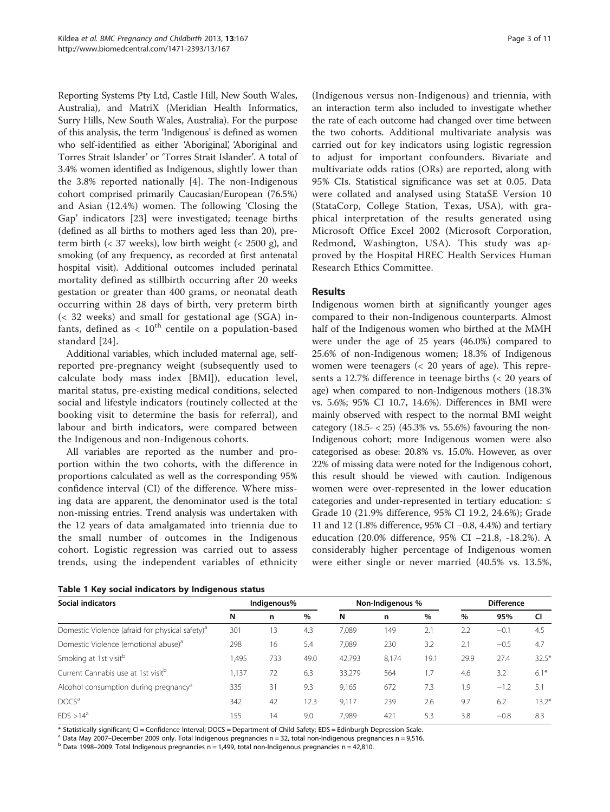<span id="page-3-0"></span>Reporting Systems Pty Ltd, Castle Hill, New South Wales, Australia), and MatriX (Meridian Health Informatics, Surry Hills, New South Wales, Australia). For the purpose of this analysis, the term 'Indigenous' is defined as women who self-identified as either 'Aboriginal', 'Aboriginal and Torres Strait Islander' or 'Torres Strait Islander'. A total of 3.4% women identified as Indigenous, slightly lower than the 3.8% reported nationally [[4](#page-10-0)]. The non-Indigenous cohort comprised primarily Caucasian/European (76.5%) and Asian (12.4%) women. The following 'Closing the Gap' indicators [\[23](#page-10-0)] were investigated; teenage births (defined as all births to mothers aged less than 20), preterm birth  $\left($  < 37 weeks), low birth weight  $\left($  < 2500 g), and smoking (of any frequency, as recorded at first antenatal hospital visit). Additional outcomes included perinatal mortality defined as stillbirth occurring after 20 weeks gestation or greater than 400 grams, or neonatal death occurring within 28 days of birth, very preterm birth (< 32 weeks) and small for gestational age (SGA) infants, defined as  $< 10^{th}$  centile on a population-based standard [[24](#page-10-0)].

Additional variables, which included maternal age, selfreported pre-pregnancy weight (subsequently used to calculate body mass index [BMI]), education level, marital status, pre-existing medical conditions, selected social and lifestyle indicators (routinely collected at the booking visit to determine the basis for referral), and labour and birth indicators, were compared between the Indigenous and non-Indigenous cohorts.

All variables are reported as the number and proportion within the two cohorts, with the difference in proportions calculated as well as the corresponding 95% confidence interval (CI) of the difference. Where missing data are apparent, the denominator used is the total non-missing entries. Trend analysis was undertaken with the 12 years of data amalgamated into triennia due to the small number of outcomes in the Indigenous cohort. Logistic regression was carried out to assess trends, using the independent variables of ethnicity

|  |  |  |  | Table 1 Key social indicators by Indigenous status |  |
|--|--|--|--|----------------------------------------------------|--|
|--|--|--|--|----------------------------------------------------|--|

(Indigenous versus non-Indigenous) and triennia, with an interaction term also included to investigate whether the rate of each outcome had changed over time between the two cohorts. Additional multivariate analysis was carried out for key indicators using logistic regression to adjust for important confounders. Bivariate and multivariate odds ratios (ORs) are reported, along with 95% CIs. Statistical significance was set at 0.05. Data were collated and analysed using StataSE Version 10 (StataCorp, College Station, Texas, USA), with graphical interpretation of the results generated using Microsoft Office Excel 2002 (Microsoft Corporation, Redmond, Washington, USA). This study was approved by the Hospital HREC Health Services Human Research Ethics Committee.

#### Results

Indigenous women birth at significantly younger ages compared to their non-Indigenous counterparts. Almost half of the Indigenous women who birthed at the MMH were under the age of 25 years (46.0%) compared to 25.6% of non-Indigenous women; 18.3% of Indigenous women were teenagers (< 20 years of age). This represents a 12.7% difference in teenage births (< 20 years of age) when compared to non-Indigenous mothers (18.3% vs. 5.6%; 95% CI 10.7, 14.6%). Differences in BMI were mainly observed with respect to the normal BMI weight category  $(18.5 - 25)$   $(45.3\% \text{ vs. } 55.6\%)$  favouring the non-Indigenous cohort; more Indigenous women were also categorised as obese: 20.8% vs. 15.0%. However, as over 22% of missing data were noted for the Indigenous cohort, this result should be viewed with caution. Indigenous women were over-represented in the lower education categories and under-represented in tertiary education: ≤ Grade 10 (21.9% difference, 95% CI 19.2, 24.6%); Grade 11 and 12 (1.8% difference, 95% CI −0.8, 4.4%) and tertiary education (20.0% difference, 95% CI −21.8, -18.2%). A considerably higher percentage of Indigenous women were either single or never married (40.5% vs. 13.5%,

| <b>Social indicators</b>                                    | Indigenous% |     |      | Non-Indigenous % |       |      | <b>Difference</b> |        |         |
|-------------------------------------------------------------|-------------|-----|------|------------------|-------|------|-------------------|--------|---------|
|                                                             | N           | n   | %    | N                | n     | $\%$ | %                 | 95%    | CI      |
| Domestic Violence (afraid for physical safety) <sup>a</sup> | 301         | 13  | 4.3  | 7.089            | 149   | 2.1  | 2.2               | $-0.1$ | 4.5     |
| Domestic Violence (emotional abuse) <sup>a</sup>            | 298         | 16  | 5.4  | 7.089            | 230   | 3.2  | 2.1               | $-0.5$ | 4.7     |
| Smoking at 1st visitb                                       | 1,495       | 733 | 49.0 | 42,793           | 8.174 | 19.1 | 29.9              | 27.4   | $32.5*$ |
| Current Cannabis use at 1st visit <sup>b</sup>              | 1,137       | 72  | 6.3  | 33,279           | 564   | 1.7  | 4.6               | 3.2    | $6.1*$  |
| Alcohol consumption during pregnancy <sup>a</sup>           | 335         | 31  | 9.3  | 9,165            | 672   | 7.3  | 1.9               | $-1.2$ | 5.1     |
| DOCS <sup>a</sup>                                           | 342         | 42  | 12.3 | 9.117            | 239   | 2.6  | 9.7               | 6.2    | $13.2*$ |
| FDS > 14 <sup>a</sup>                                       | 155         | 14  | 9.0  | 7.989            | 421   | 5.3  | 3.8               | $-0.8$ | 8.3     |

\* Statistically significant; CI = Confidence Interval; DOCS = Department of Child Safety; EDS = Edinburgh Depression Scale.

<sup>a</sup> Data May 2007–December 2009 only. Total Indigenous pregnancies n = 32, total non-Indigenous pregnancies n = 9,516.<br><sup>b</sup> Data 1998–2009. Total Indigenous pregnancies n = 1,499, total non-Indigenous pregnancies n = 42,81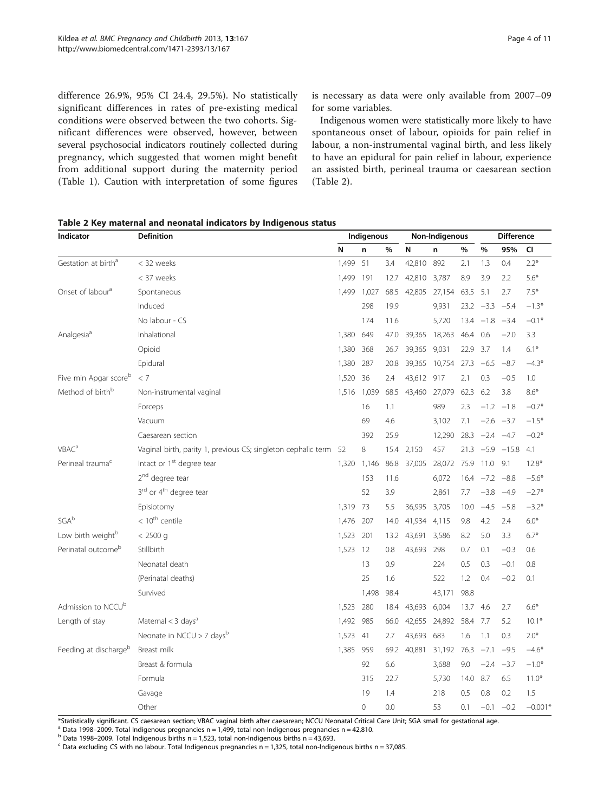difference 26.9%, 95% CI 24.4, 29.5%). No statistically significant differences in rates of pre-existing medical conditions were observed between the two cohorts. Significant differences were observed, however, between several psychosocial indicators routinely collected during pregnancy, which suggested that women might benefit from additional support during the maternity period (Table [1\)](#page-3-0). Caution with interpretation of some figures

is necessary as data were only available from 2007–09 for some variables.

Indigenous women were statistically more likely to have spontaneous onset of labour, opioids for pain relief in labour, a non-instrumental vaginal birth, and less likely to have an epidural for pain relief in labour, experience an assisted birth, perineal trauma or caesarean section (Table 2).

| Table 2 Key maternal and neonatal indicators by Indigenous status |  |  |
|-------------------------------------------------------------------|--|--|
|-------------------------------------------------------------------|--|--|

| Indicator                       | <b>Definition</b>                                                | Indigenous |             |      | Non-Indigenous |        |      | <b>Difference</b> |                   |           |
|---------------------------------|------------------------------------------------------------------|------------|-------------|------|----------------|--------|------|-------------------|-------------------|-----------|
|                                 |                                                                  | N          | n           | %    | N              | n      | %    | %                 | 95%               | CI        |
| Gestation at birth <sup>a</sup> | < 32 weeks                                                       | 1,499      | 51          | 3.4  | 42,810         | 892    | 2.1  | 1.3               | 0.4               | $2.2*$    |
|                                 | < 37 weeks                                                       | 1,499      | 191         | 12.7 | 42,810         | 3,787  | 8.9  | 3.9               | 2.2               | $5.6*$    |
| Onset of labour <sup>a</sup>    | Spontaneous                                                      | 1,499      | 1,027       | 68.5 | 42,805         | 27,154 | 63.5 | 5.1               | 2.7               | $7.5*$    |
|                                 | Induced                                                          |            | 298         | 19.9 |                | 9,931  |      | $23.2 -3.3 -5.4$  |                   | $-1.3*$   |
|                                 | No labour - CS                                                   |            | 174         | 11.6 |                | 5,720  |      | $13.4 -1.8$       | $-3.4$            | $-0.1*$   |
| Analgesia <sup>a</sup>          | Inhalational                                                     | 1.380      | 649         | 47.0 | 39,365         | 18,263 | 46.4 | 0.6               | $-2.0$            | 3.3       |
|                                 | Opioid                                                           | 1,380      | 368         | 26.7 | 39,365         | 9,031  | 22.9 | 3.7               | 1.4               | $6.1*$    |
|                                 | Epidural                                                         | 1,380      | 287         | 20.8 | 39,365         | 10,754 | 27.3 | $-6.5$            | $-8.7$            | $-4.3*$   |
| Five min Apgar scoreb           | < 7                                                              | 1,520      | 36          | 2.4  | 43,612         | 917    | 2.1  | 0.3               | $-0.5$            | 1.0       |
| Method of birth <sup>b</sup>    | Non-instrumental vaginal                                         | 1,516      | 1,039       | 68.5 | 43,460         | 27,079 | 62.3 | 6.2               | 3.8               | $8.6*$    |
|                                 | Forceps                                                          |            | 16          | 1.1  |                | 989    | 2.3  |                   | $-1.2 -1.8$       | $-0.7*$   |
|                                 | Vacuum                                                           |            | 69          | 4.6  |                | 3,102  | 7.1  |                   | $-2.6 -3.7$       | $-1.5*$   |
|                                 | Caesarean section                                                |            | 392         | 25.9 |                | 12,290 |      | $28.3 -2.4 -4.7$  |                   | $-0.2*$   |
| VBAC <sup>a</sup>               | Vaginal birth, parity 1, previous CS; singleton cephalic term 52 |            | 8           | 15.4 | 2,150          | 457    |      |                   | $21.3 -5.9 -15.8$ | 4.1       |
| Perineal trauma <sup>c</sup>    | Intact or 1 <sup>st</sup> degree tear                            | 1,320      | 1,146       | 86.8 | 37,005         | 28,072 | 75.9 | 11.0              | 9.1               | $12.8*$   |
|                                 | 2 <sup>nd</sup> degree tear                                      |            | 153         | 11.6 |                | 6,072  |      | $16.4 -7.2 -8.8$  |                   | $-5.6*$   |
|                                 | 3rd or 4 <sup>th</sup> degree tear                               |            | 52          | 3.9  |                | 2,861  | 7.7  |                   | $-3.8$ $-4.9$     | $-2.7*$   |
|                                 | Episiotomy                                                       | 1,319      | - 73        | 5.5  | 36,995         | 3,705  | 10.0 | $-4.5 -5.8$       |                   | $-3.2*$   |
| SGAb                            | $< 10^{\text{th}}$ centile                                       | 1,476      | 207         | 14.0 | 41,934         | 4,115  | 9.8  | 4.2               | 2.4               | $6.0*$    |
| Low birth weightb               | $< 2500$ q                                                       | 1,523      | 201         | 13.2 | 43,691         | 3,586  | 8.2  | 5.0               | 3.3               | $6.7*$    |
| Perinatal outcome <sup>b</sup>  | Stillbirth                                                       | 1,523      | 12          | 0.8  | 43,693         | 298    | 0.7  | 0.1               | $-0.3$            | 0.6       |
|                                 | Neonatal death                                                   |            | 13          | 0.9  |                | 224    | 0.5  | 0.3               | $-0.1$            | 0.8       |
|                                 | (Perinatal deaths)                                               |            | 25          | 1.6  |                | 522    | 1.2  | 0.4               | $-0.2$            | 0.1       |
|                                 | Survived                                                         |            | 1,498       | 98.4 |                | 43,171 | 98.8 |                   |                   |           |
| Admission to NCCU <sup>b</sup>  |                                                                  | 1,523      | 280         | 18.4 | 43,693         | 6,004  | 13.7 | 4.6               | 2.7               | $6.6*$    |
| Length of stay                  | Maternal $<$ 3 days <sup>a</sup>                                 | 1,492      | 985         | 66.0 | 42,655         | 24,892 | 58.4 | -7.7              | 5.2               | $10.1*$   |
|                                 | Neonate in NCCU > 7 days <sup>b</sup>                            | 1,523      | 41          | 2.7  | 43,693         | 683    | 1.6  | 1.1               | 0.3               | $2.0*$    |
| Feeding at dischargeb           | Breast milk                                                      | 1,385      | 959         | 69.2 | 40,881         | 31,192 | 76.3 | $-7.1$            | $-9.5$            | $-4.6*$   |
|                                 | Breast & formula                                                 |            | 92          | 6.6  |                | 3,688  | 9.0  | $-2.4$            | $-3.7$            | $-1.0*$   |
|                                 | Formula                                                          |            | 315         | 22.7 |                | 5,730  | 14.0 | 8.7               | 6.5               | $11.0*$   |
|                                 | Gavage                                                           |            | 19          | 1.4  |                | 218    | 0.5  | 0.8               | 0.2               | 1.5       |
|                                 | Other                                                            |            | $\mathbf 0$ | 0.0  |                | 53     | 0.1  |                   | $-0.1 -0.2$       | $-0.001*$ |

\*Statistically significant. CS caesarean section; VBAC vaginal birth after caesarean; NCCU Neonatal Critical Care Unit; SGA small for gestational age.<br><sup>a</sup> Data 1998–2009. Total Indigenous pregnancies n = 1,499, total non-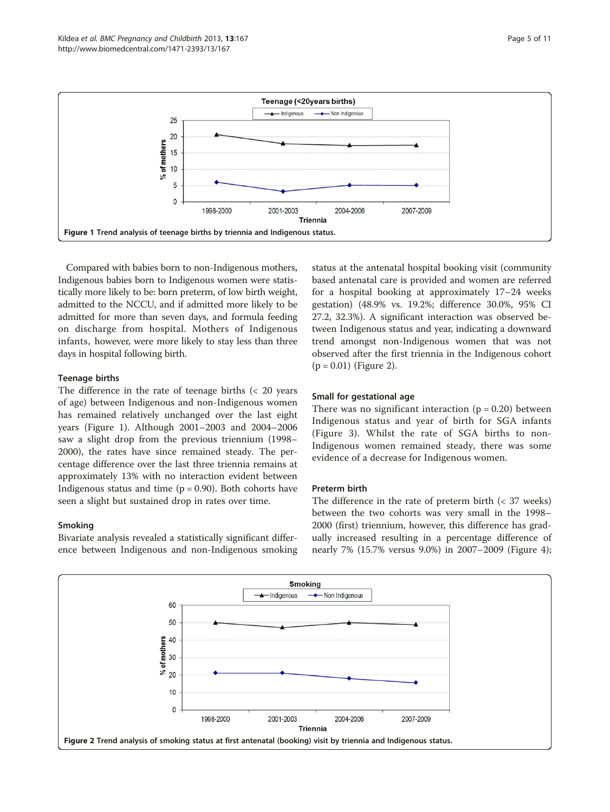

Compared with babies born to non-Indigenous mothers, Indigenous babies born to Indigenous women were statistically more likely to be: born preterm, of low birth weight, admitted to the NCCU, and if admitted more likely to be admitted for more than seven days, and formula feeding on discharge from hospital. Mothers of Indigenous infants, however, were more likely to stay less than three days in hospital following birth.

#### Teenage births

The difference in the rate of teenage births (< 20 years of age) between Indigenous and non-Indigenous women has remained relatively unchanged over the last eight years (Figure 1). Although 2001–2003 and 2004–2006 saw a slight drop from the previous triennium (1998– 2000), the rates have since remained steady. The percentage difference over the last three triennia remains at approximately 13% with no interaction evident between Indigenous status and time  $(p = 0.90)$ . Both cohorts have seen a slight but sustained drop in rates over time.

#### Smoking

Bivariate analysis revealed a statistically significant difference between Indigenous and non-Indigenous smoking status at the antenatal hospital booking visit (community based antenatal care is provided and women are referred for a hospital booking at approximately 17–24 weeks gestation) (48.9% vs. 19.2%; difference 30.0%, 95% CI 27.2, 32.3%). A significant interaction was observed between Indigenous status and year, indicating a downward trend amongst non-Indigenous women that was not observed after the first triennia in the Indigenous cohort  $(p = 0.01)$  (Figure 2).

#### Small for gestational age

There was no significant interaction  $(p = 0.20)$  between Indigenous status and year of birth for SGA infants (Figure [3\)](#page-6-0). Whilst the rate of SGA births to non-Indigenous women remained steady, there was some evidence of a decrease for Indigenous women.

#### Preterm birth

The difference in the rate of preterm birth  $\left($  < 37 weeks) between the two cohorts was very small in the 1998– 2000 (first) triennium, however, this difference has gradually increased resulting in a percentage difference of nearly 7% (15.7% versus 9.0%) in 2007–2009 (Figure [4](#page-6-0));

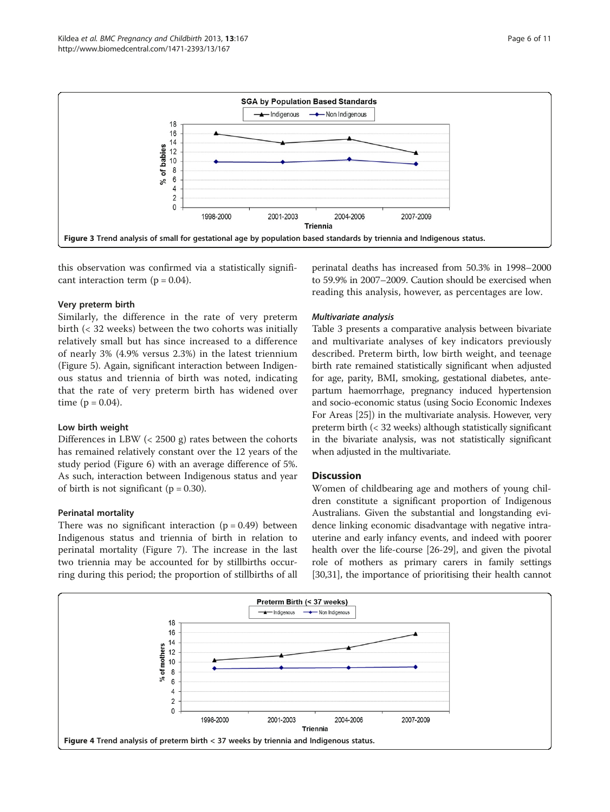<span id="page-6-0"></span>![](_page_6_Figure_2.jpeg)

this observation was confirmed via a statistically significant interaction term  $(p = 0.04)$ .

#### Very preterm birth

Similarly, the difference in the rate of very preterm birth (< 32 weeks) between the two cohorts was initially relatively small but has since increased to a difference of nearly 3% (4.9% versus 2.3%) in the latest triennium (Figure [5](#page-7-0)). Again, significant interaction between Indigenous status and triennia of birth was noted, indicating that the rate of very preterm birth has widened over time  $(p = 0.04)$ .

#### Low birth weight

Differences in LBW (< 2500 g) rates between the cohorts has remained relatively constant over the 12 years of the study period (Figure [6](#page-7-0)) with an average difference of 5%. As such, interaction between Indigenous status and year of birth is not significant ( $p = 0.30$ ).

#### Perinatal mortality

There was no significant interaction  $(p = 0.49)$  between Indigenous status and triennia of birth in relation to perinatal mortality (Figure [7\)](#page-8-0). The increase in the last two triennia may be accounted for by stillbirths occurring during this period; the proportion of stillbirths of all

perinatal deaths has increased from 50.3% in 1998–2000 to 59.9% in 2007–2009. Caution should be exercised when reading this analysis, however, as percentages are low.

#### Multivariate analysis

Table [3](#page-8-0) presents a comparative analysis between bivariate and multivariate analyses of key indicators previously described. Preterm birth, low birth weight, and teenage birth rate remained statistically significant when adjusted for age, parity, BMI, smoking, gestational diabetes, antepartum haemorrhage, pregnancy induced hypertension and socio-economic status (using Socio Economic Indexes For Areas [\[25\]](#page-10-0)) in the multivariate analysis. However, very preterm birth (< 32 weeks) although statistically significant in the bivariate analysis, was not statistically significant when adjusted in the multivariate.

#### **Discussion**

Women of childbearing age and mothers of young children constitute a significant proportion of Indigenous Australians. Given the substantial and longstanding evidence linking economic disadvantage with negative intrauterine and early infancy events, and indeed with poorer health over the life-course [[26](#page-10-0)-[29](#page-10-0)], and given the pivotal role of mothers as primary carers in family settings [[30](#page-10-0),[31](#page-10-0)], the importance of prioritising their health cannot

![](_page_6_Figure_15.jpeg)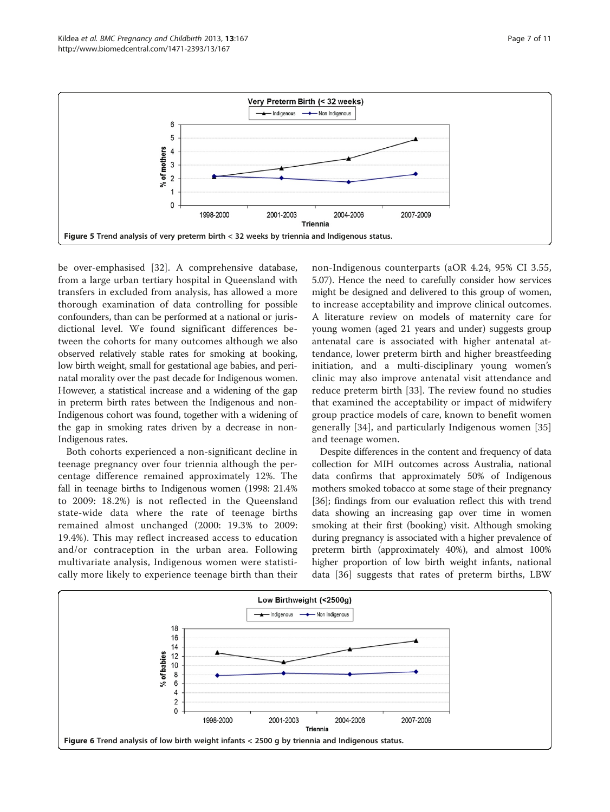<span id="page-7-0"></span>![](_page_7_Figure_2.jpeg)

be over-emphasised [[32\]](#page-10-0). A comprehensive database, from a large urban tertiary hospital in Queensland with transfers in excluded from analysis, has allowed a more thorough examination of data controlling for possible confounders, than can be performed at a national or jurisdictional level. We found significant differences between the cohorts for many outcomes although we also observed relatively stable rates for smoking at booking, low birth weight, small for gestational age babies, and perinatal morality over the past decade for Indigenous women. However, a statistical increase and a widening of the gap in preterm birth rates between the Indigenous and non-Indigenous cohort was found, together with a widening of the gap in smoking rates driven by a decrease in non-Indigenous rates.

Both cohorts experienced a non-significant decline in teenage pregnancy over four triennia although the percentage difference remained approximately 12%. The fall in teenage births to Indigenous women (1998: 21.4% to 2009: 18.2%) is not reflected in the Queensland state-wide data where the rate of teenage births remained almost unchanged (2000: 19.3% to 2009: 19.4%). This may reflect increased access to education and/or contraception in the urban area. Following multivariate analysis, Indigenous women were statistically more likely to experience teenage birth than their

non-Indigenous counterparts (aOR 4.24, 95% CI 3.55, 5.07). Hence the need to carefully consider how services might be designed and delivered to this group of women, to increase acceptability and improve clinical outcomes. A literature review on models of maternity care for young women (aged 21 years and under) suggests group antenatal care is associated with higher antenatal attendance, lower preterm birth and higher breastfeeding initiation, and a multi-disciplinary young women's clinic may also improve antenatal visit attendance and reduce preterm birth [\[33](#page-10-0)]. The review found no studies that examined the acceptability or impact of midwifery group practice models of care, known to benefit women generally [[34](#page-10-0)], and particularly Indigenous women [\[35](#page-10-0)] and teenage women.

Despite differences in the content and frequency of data collection for MIH outcomes across Australia, national data confirms that approximately 50% of Indigenous mothers smoked tobacco at some stage of their pregnancy [[36](#page-10-0)]; findings from our evaluation reflect this with trend data showing an increasing gap over time in women smoking at their first (booking) visit. Although smoking during pregnancy is associated with a higher prevalence of preterm birth (approximately 40%), and almost 100% higher proportion of low birth weight infants, national data [[36](#page-10-0)] suggests that rates of preterm births, LBW

![](_page_7_Figure_7.jpeg)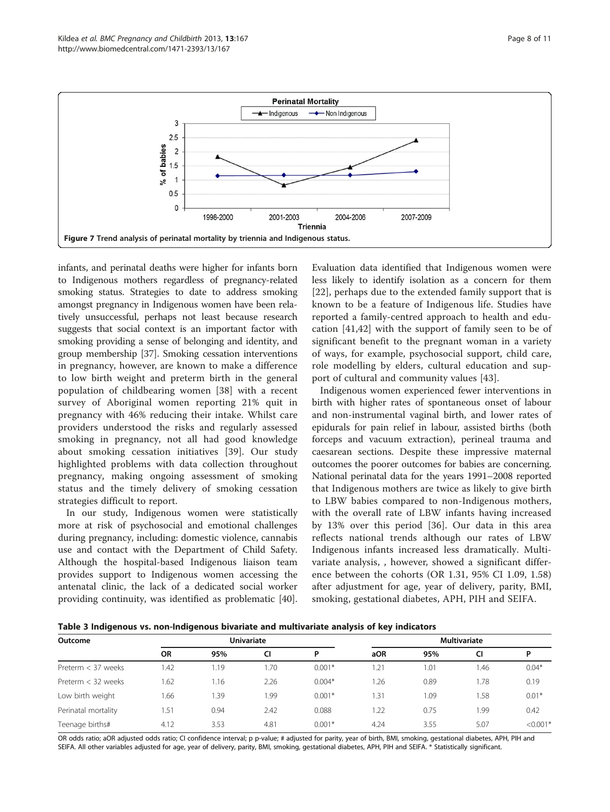<span id="page-8-0"></span>![](_page_8_Figure_2.jpeg)

infants, and perinatal deaths were higher for infants born to Indigenous mothers regardless of pregnancy-related smoking status. Strategies to date to address smoking amongst pregnancy in Indigenous women have been relatively unsuccessful, perhaps not least because research suggests that social context is an important factor with smoking providing a sense of belonging and identity, and group membership [[37](#page-10-0)]. Smoking cessation interventions in pregnancy, however, are known to make a difference to low birth weight and preterm birth in the general population of childbearing women [[38](#page-10-0)] with a recent survey of Aboriginal women reporting 21% quit in pregnancy with 46% reducing their intake. Whilst care providers understood the risks and regularly assessed smoking in pregnancy, not all had good knowledge about smoking cessation initiatives [[39\]](#page-10-0). Our study highlighted problems with data collection throughout pregnancy, making ongoing assessment of smoking status and the timely delivery of smoking cessation strategies difficult to report.

In our study, Indigenous women were statistically more at risk of psychosocial and emotional challenges during pregnancy, including: domestic violence, cannabis use and contact with the Department of Child Safety. Although the hospital-based Indigenous liaison team provides support to Indigenous women accessing the antenatal clinic, the lack of a dedicated social worker providing continuity, was identified as problematic [\[40](#page-10-0)].

Evaluation data identified that Indigenous women were less likely to identify isolation as a concern for them [[22](#page-10-0)], perhaps due to the extended family support that is known to be a feature of Indigenous life. Studies have reported a family-centred approach to health and education [\[41](#page-10-0),[42\]](#page-10-0) with the support of family seen to be of significant benefit to the pregnant woman in a variety of ways, for example, psychosocial support, child care, role modelling by elders, cultural education and support of cultural and community values [[43](#page-10-0)].

Indigenous women experienced fewer interventions in birth with higher rates of spontaneous onset of labour and non-instrumental vaginal birth, and lower rates of epidurals for pain relief in labour, assisted births (both forceps and vacuum extraction), perineal trauma and caesarean sections. Despite these impressive maternal outcomes the poorer outcomes for babies are concerning. National perinatal data for the years 1991–2008 reported that Indigenous mothers are twice as likely to give birth to LBW babies compared to non-Indigenous mothers, with the overall rate of LBW infants having increased by 13% over this period [\[36](#page-10-0)]. Our data in this area reflects national trends although our rates of LBW Indigenous infants increased less dramatically. Multivariate analysis, , however, showed a significant difference between the cohorts (OR 1.31, 95% CI 1.09, 1.58) after adjustment for age, year of delivery, parity, BMI, smoking, gestational diabetes, APH, PIH and SEIFA.

Table 3 Indigenous vs. non-Indigenous bivariate and multivariate analysis of key indicators

| $-$<br>Outcome       | -<br><b>Univariate</b> |      |      |          | $\mathbf{r}$<br><b>Multivariate</b> |      |           |            |  |  |
|----------------------|------------------------|------|------|----------|-------------------------------------|------|-----------|------------|--|--|
|                      | <b>OR</b>              | 95%  | CI   | P        | aOR                                 | 95%  | <b>CI</b> | D          |  |  |
| Preterm < 37 weeks   | .42                    | l.19 | 1.70 | $0.001*$ | 1.21                                | 1.01 | .46       | $0.04*$    |  |  |
| Preterm $<$ 32 weeks | .62                    | 1.16 | 2.26 | $0.004*$ | 1.26                                | 0.89 | 1.78      | 0.19       |  |  |
| Low birth weight     | 1.66                   | .39  | 1.99 | $0.001*$ | 1.31                                | 1.09 | . 58      | $0.01*$    |  |  |
| Perinatal mortality  | .51                    | 0.94 | 2.42 | 0.088    | 1.22                                | 0.75 | .99       | 0.42       |  |  |
| Teenage births#      | 4.12                   | 3.53 | 4.81 | $0.001*$ | 4.24                                | 3.55 | 5.07      | $< 0.001*$ |  |  |

OR odds ratio; aOR adjusted odds ratio; CI confidence interval; p p-value; # adjusted for parity, year of birth, BMI, smoking, gestational diabetes, APH, PIH and SEIFA. All other variables adjusted for age, year of delivery, parity, BMI, smoking, gestational diabetes, APH, PIH and SEIFA. \* Statistically significant.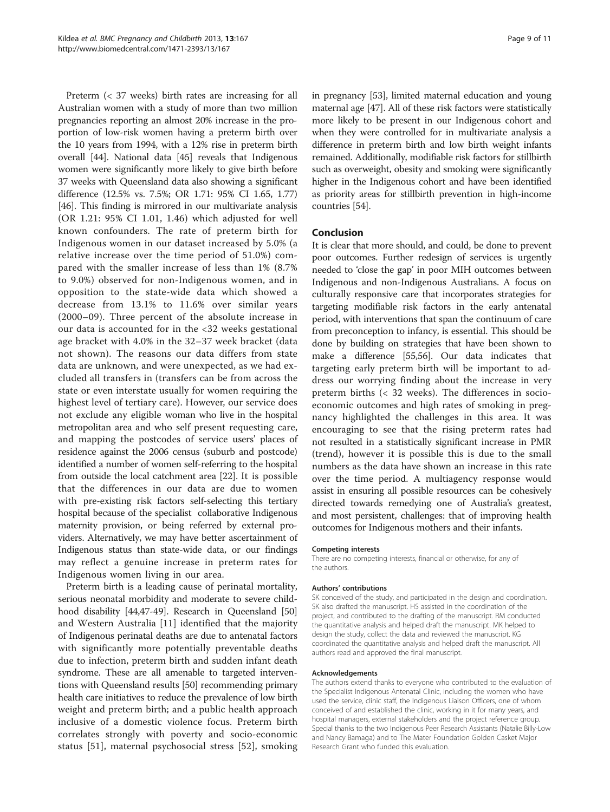Preterm (< 37 weeks) birth rates are increasing for all Australian women with a study of more than two million pregnancies reporting an almost 20% increase in the proportion of low-risk women having a preterm birth over the 10 years from 1994, with a 12% rise in preterm birth overall [\[44](#page-10-0)]. National data [\[45](#page-11-0)] reveals that Indigenous women were significantly more likely to give birth before 37 weeks with Queensland data also showing a significant difference (12.5% vs. 7.5%; OR 1.71: 95% CI 1.65, 1.77) [[46](#page-11-0)]. This finding is mirrored in our multivariate analysis (OR 1.21: 95% CI 1.01, 1.46) which adjusted for well known confounders. The rate of preterm birth for Indigenous women in our dataset increased by 5.0% (a relative increase over the time period of 51.0%) compared with the smaller increase of less than 1% (8.7% to 9.0%) observed for non-Indigenous women, and in opposition to the state-wide data which showed a decrease from 13.1% to 11.6% over similar years (2000–09). Three percent of the absolute increase in our data is accounted for in the <32 weeks gestational age bracket with 4.0% in the 32–37 week bracket (data not shown). The reasons our data differs from state data are unknown, and were unexpected, as we had excluded all transfers in (transfers can be from across the state or even interstate usually for women requiring the highest level of tertiary care). However, our service does not exclude any eligible woman who live in the hospital metropolitan area and who self present requesting care, and mapping the postcodes of service users' places of residence against the 2006 census (suburb and postcode) identified a number of women self-referring to the hospital from outside the local catchment area [\[22](#page-10-0)]. It is possible that the differences in our data are due to women with pre-existing risk factors self-selecting this tertiary hospital because of the specialist collaborative Indigenous maternity provision, or being referred by external providers. Alternatively, we may have better ascertainment of Indigenous status than state-wide data, or our findings may reflect a genuine increase in preterm rates for Indigenous women living in our area.

Preterm birth is a leading cause of perinatal mortality, serious neonatal morbidity and moderate to severe child-hood disability [\[44,](#page-10-0)[47](#page-11-0)-[49](#page-11-0)]. Research in Queensland [[50](#page-11-0)] and Western Australia [\[11](#page-10-0)] identified that the majority of Indigenous perinatal deaths are due to antenatal factors with significantly more potentially preventable deaths due to infection, preterm birth and sudden infant death syndrome. These are all amenable to targeted interventions with Queensland results [[50](#page-11-0)] recommending primary health care initiatives to reduce the prevalence of low birth weight and preterm birth; and a public health approach inclusive of a domestic violence focus. Preterm birth correlates strongly with poverty and socio-economic status [\[51](#page-11-0)], maternal psychosocial stress [[52\]](#page-11-0), smoking

in pregnancy [\[53\]](#page-11-0), limited maternal education and young maternal age [[47](#page-11-0)]. All of these risk factors were statistically more likely to be present in our Indigenous cohort and when they were controlled for in multivariate analysis a difference in preterm birth and low birth weight infants remained. Additionally, modifiable risk factors for stillbirth such as overweight, obesity and smoking were significantly higher in the Indigenous cohort and have been identified as priority areas for stillbirth prevention in high-income countries [\[54\]](#page-11-0).

#### Conclusion

It is clear that more should, and could, be done to prevent poor outcomes. Further redesign of services is urgently needed to 'close the gap' in poor MIH outcomes between Indigenous and non-Indigenous Australians. A focus on culturally responsive care that incorporates strategies for targeting modifiable risk factors in the early antenatal period, with interventions that span the continuum of care from preconception to infancy, is essential. This should be done by building on strategies that have been shown to make a difference [\[55,56\]](#page-11-0). Our data indicates that targeting early preterm birth will be important to address our worrying finding about the increase in very preterm births (< 32 weeks). The differences in socioeconomic outcomes and high rates of smoking in pregnancy highlighted the challenges in this area. It was encouraging to see that the rising preterm rates had not resulted in a statistically significant increase in PMR (trend), however it is possible this is due to the small numbers as the data have shown an increase in this rate over the time period. A multiagency response would assist in ensuring all possible resources can be cohesively directed towards remedying one of Australia's greatest, and most persistent, challenges: that of improving health outcomes for Indigenous mothers and their infants.

#### Competing interests

There are no competing interests, financial or otherwise, for any of the authors.

#### Authors' contributions

SK conceived of the study, and participated in the design and coordination. SK also drafted the manuscript. HS assisted in the coordination of the project, and contributed to the drafting of the manuscript. RM conducted the quantitative analysis and helped draft the manuscript. MK helped to design the study, collect the data and reviewed the manuscript. KG coordinated the quantitative analysis and helped draft the manuscript. All authors read and approved the final manuscript.

#### Acknowledgements

The authors extend thanks to everyone who contributed to the evaluation of the Specialist Indigenous Antenatal Clinic, including the women who have used the service, clinic staff, the Indigenous Liaison Officers, one of whom conceived of and established the clinic, working in it for many years, and hospital managers, external stakeholders and the project reference group. Special thanks to the two Indigenous Peer Research Assistants (Natalie Billy-Low and Nancy Bamaga) and to The Mater Foundation Golden Casket Major Research Grant who funded this evaluation.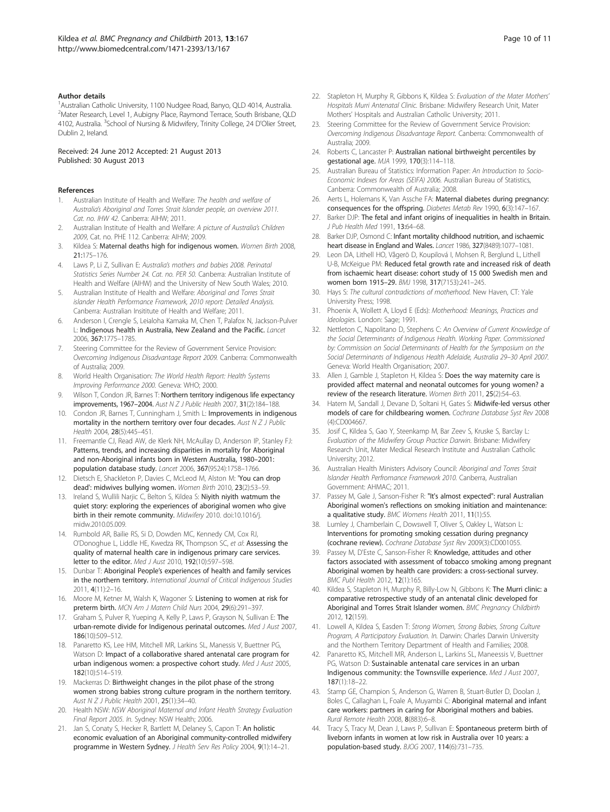#### <span id="page-10-0"></span>Author details

<sup>1</sup> Australian Catholic University, 1100 Nudgee Road, Banyo, QLD 4014, Australia. <sup>2</sup>Mater Research, Level 1, Aubigny Place, Raymond Terrace, South Brisbane, QLD 4102, Australia. <sup>3</sup>School of Nursing & Midwifery, Trinity College, 24 D'Olier Street, Dublin 2, Ireland.

Received: 24 June 2012 Accepted: 21 August 2013 Published: 30 August 2013

#### References

- Australian Institute of Health and Welfare: The health and welfare of Australia's Aboriginal and Torres Strait Islander people, an overview 2011. Cat. no. IHW 42. Canberra: AIHW; 2011.
- 2. Australian Institute of Health and Welfare: A picture of Australia's Children 2009, Cat. no. PHE 112. Canberra: AIHW; 2009.
- 3. Kildea S: Maternal deaths high for indigenous women. Women Birth 2008, 21:175–176.
- Laws P, Li Z, Sullivan E: Australia's mothers and babies 2008. Perinatal Statistics Series Number 24. Cat. no. PER 50. Canberra: Australian Institute of Health and Welfare (AIHW) and the University of New South Wales; 2010.
- 5. Australian Institute of Health and Welfare: Aboriginal and Torres Strait islander Health Performance Framework, 2010 report: Detailed Analysis. Canberra: Australian Insititute of Health and Welfare; 2011.
- 6. Anderson I, Crengle S, Leialoha Kamaka M, Chen T, Palafox N, Jackson-Pulver L: Indigenous health in Australia, New Zealand and the Pacific. Lancet 2006, 367:1775–1785.
- 7. Steering Committee for the Review of Government Service Provision: Overcoming Indigenous Disadvantage Report 2009. Canberra: Commonwealth of Australia; 2009.
- 8. World Health Organisation: The World Health Report: Health Systems Improving Performance 2000. Geneva: WHO; 2000.
- Wilson T, Condon JR, Barnes T: Northern territory indigenous life expectancy improvements, 1967–2004. Aust N Z J Public Health 2007, 31(2):184–188.
- 10. Condon JR, Barnes T, Cunningham J, Smith L: Improvements in indigenous mortality in the northern territory over four decades. Aust  $N Z J$  Public Health 2004, 28(5):445–451.
- 11. Freemantle CJ, Read AW, de Klerk NH, McAullay D, Anderson IP, Stanley FJ: Patterns, trends, and increasing disparities in mortality for Aboriginal and non-Aboriginal infants born in Western Australia, 1980–2001: population database study. Lancet 2006, 367(9524):1758–1766.
- 12. Dietsch E, Shackleton P, Davies C, McLeod M, Alston M: 'You can drop dead': midwives bullying women. Women Birth 2010, 23(2):53–59.
- 13. Ireland S, Wullili Narjic C, Belton S, Kildea S: Niyith niyith watmum the quiet story: exploring the experiences of aboriginal women who give birth in their remote community. Midwifery 2010. doi[:10.1016/j.](http://dx.doi.org/10.1016/j.midw.2010.05.009) [midw.2010.05.009](http://dx.doi.org/10.1016/j.midw.2010.05.009).
- 14. Rumbold AR, Bailie RS, Si D, Dowden MC, Kennedy CM, Cox RJ, O'Donoghue L, Liddle HE, Kwedza RK, Thompson SC, et al: Assessing the quality of maternal health care in indigenous primary care services. letter to the editor. Med J Aust 2010, 192(10):597–598.
- 15. Dunbar T: Aboriginal People's experiences of health and family services in the northern territory. International Journal of Critical Indigenous Studies 2011, 4(11):2–16.
- 16. Moore M, Ketner M, Walsh K, Wagoner S: Listening to women at risk for preterm birth. MCN Am J Matern Child Nurs 2004, 29(6):291–397.
- 17. Graham S, Pulver R, Yueping A, Kelly P, Laws P, Grayson N, Sullivan E: The urban-remote divide for Indigenous perinatal outcomes. Med J Aust 2007, 186(10):509–512.
- 18. Panaretto KS, Lee HM, Mitchell MR, Larkins SL, Manessis V, Buettner PG, Watson D: Impact of a collaborative shared antenatal care program for urban indigenous women: a prospective cohort study. Med J Aust 2005, 182(10):514–519.
- 19. Mackerras D: Birthweight changes in the pilot phase of the strong women strong babies strong culture program in the northern territory. Aust N Z J Public Health 2001, 25(1):34–40.
- 20. Health NSW: NSW Aboriginal Maternal and Infant Health Strategy Evaluation Final Report 2005. In. Sydney: NSW Health; 2006.
- 21. Jan S, Conaty S, Hecker R, Bartlett M, Delaney S, Capon T: An holistic economic evaluation of an Aboriginal community-controlled midwifery programme in Western Sydney. J Health Serv Res Policy 2004, 9(1):14-21.
- 22. Stapleton H, Murphy R, Gibbons K, Kildea S: Evaluation of the Mater Mothers' Hospitals Murri Antenatal Clinic. Brisbane: Midwifery Research Unit, Mater Mothers' Hospitals and Australian Catholic University; 2011.
- 23. Steering Committee for the Review of Government Service Provision: Overcoming Indigenous Disadvantage Report. Canberra: Commonwealth of Australia; 2009.
- 24. Roberts C, Lancaster P: Australian national birthweight percentiles by gestational age. MJA 1999, 170(3):114–118.
- 25. Australian Bureau of Statistics: Information Paper: An Introduction to Socio-Economic Indexes for Areas (SEIFA) 2006. Australian Bureau of Statistics, Canberra: Commonwealth of Australia; 2008.
- 26. Aerts L, Holemans K, Van Assche FA: Maternal diabetes during pregnancy: consequences for the offspring. Diabetes Metab Rev 1990, 6(3):147–167.
- 27. Barker DJP: The fetal and infant origins of inequalities in health in Britain. J Pub Health Med 1991, 13:64-68.
- 28. Barker DJP, Osmond C: Infant mortality childhood nutrition, and ischaemic heart disease in England and Wales. Lancet 1986, 327(8489):1077–1081.
- 29. Leon DA, Lithell HO, Vågerö D, Koupilová I, Mohsen R, Berglund L, Lithell U-B, McKeigue PM: Reduced fetal growth rate and increased risk of death from ischaemic heart disease: cohort study of 15 000 Swedish men and women born 1915–29. BMJ 1998, 317(7153):241–245.
- 30. Hays S: The cultural contradictions of motherhood. New Haven, CT: Yale University Press; 1998.
- 31. Phoenix A, Wollett A, Lloyd E (Eds): Motherhood: Meanings, Practices and Ideologies. London: Sage; 1991.
- 32. Nettleton C, Napolitano D, Stephens C: An Overview of Current Knowledge of the Social Determinants of Indigenous Health. Working Paper. Commissioned by: Commission on Social Determinants of Health for the Symposium on the Social Determinants of Indigenous Health Adelaide, Australia 29–30 April 2007. Geneva: World Health Organisation; 2007.
- 33. Allen J, Gamble J, Stapleton H, Kildea S: Does the way maternity care is provided affect maternal and neonatal outcomes for young women? a review of the research literature. Women Birth 2011, 25(2):54–63.
- 34. Hatem M, Sandall J, Devane D, Soltani H, Gates S: Midwife-led versus other models of care for childbearing women. Cochrane Database Syst Rev 2008 (4):CD004667.
- 35. Josif C, Kildea S, Gao Y, Steenkamp M, Bar Zeev S, Kruske S, Barclay L: Evaluation of the Midwifery Group Practice Darwin. Brisbane: Midwifery Research Unit, Mater Medical Research Institute and Australian Catholic University; 2012.
- 36. Australian Health Ministers Advisory Council: Aboriginal and Torres Strait Islander Health Perfromance Framework 2010. Canberra, Australian Government: AHMAC; 2011.
- 37. Passey M, Gale J, Sanson-Fisher R: "It's almost expected": rural Australian Aboriginal women's reflections on smoking initiation and maintenance: a qualitative study. BMC Womens Health 2011, 11(1):55.
- 38. Lumley J, Chamberlain C, Dowswell T, Oliver S, Oakley L, Watson L: Interventions for promoting smoking cessation during pregnancy (cochrane review). Cochrane Database Syst Rev 2009(3):CD001055.
- 39. Passey M, D'Este C, Sanson-Fisher R: Knowledge, attitudes and other factors associated with assessment of tobacco smoking among pregnant Aboriginal women by health care providers: a cross-sectional survey. BMC Publ Health 2012, 12(1):165.
- 40. Kildea S, Stapleton H, Murphy R, Billy-Low N, Gibbons K: The Murri clinic: a comparative retrospective study of an antenatal clinic developed for Aboriginal and Torres Strait Islander women. BMC Pregnancy Childbirth 2012, 12(159).
- 41. Lowell A, Kildea S, Easden T: Strong Women, Strong Babies, Strong Culture Program, A Participatory Evaluation. In. Darwin: Charles Darwin University and the Northern Territory Department of Health and Families; 2008.
- 42. Panaretto KS, Mitchell MR, Anderson L, Larkins SL, Maneessis V, Buettner PG, Watson D: Sustainable antenatal care services in an urban Indigenous community: the Townsville experience. Med J Aust 2007, 187(1):18–22.
- 43. Stamp GE, Champion S, Anderson G, Warren B, Stuart-Butler D, Doolan J, Boles C, Callaghan L, Foale A, Muyambi C: Aboriginal maternal and infant care workers: partners in caring for Aboriginal mothers and babies. Rural Remote Health 2008, 8(883):6–8.
- 44. Tracy S, Tracy M, Dean J, Laws P, Sullivan E: Spontaneous preterm birth of liveborn infants in women at low risk in Australia over 10 years: a population-based study. BJOG 2007, 114(6):731–735.